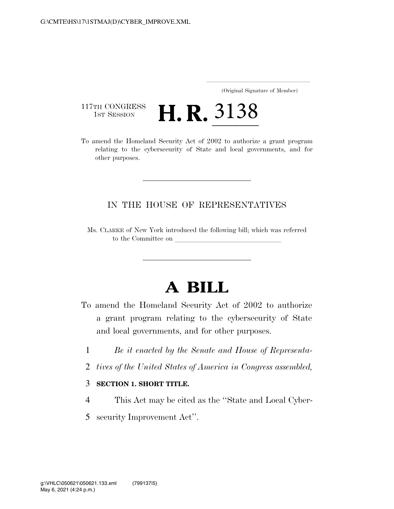..................................................................... (Original Signature of Member)

117TH CONGRESS<br>1st Session

117TH CONGRESS **H. R. 3138**<br>To amend the Homeland Security Act of 2002 to authorize a grant program relating to the cybersecurity of State and local governments, and for other purposes.

## IN THE HOUSE OF REPRESENTATIVES

Ms. CLARKE of New York introduced the following bill; which was referred to the Committee on

# **A BILL**

- To amend the Homeland Security Act of 2002 to authorize a grant program relating to the cybersecurity of State and local governments, and for other purposes.
	- 1 *Be it enacted by the Senate and House of Representa-*
	- 2 *tives of the United States of America in Congress assembled,*

#### 3 **SECTION 1. SHORT TITLE.**

- 4 This Act may be cited as the ''State and Local Cyber-
- 5 security Improvement Act''.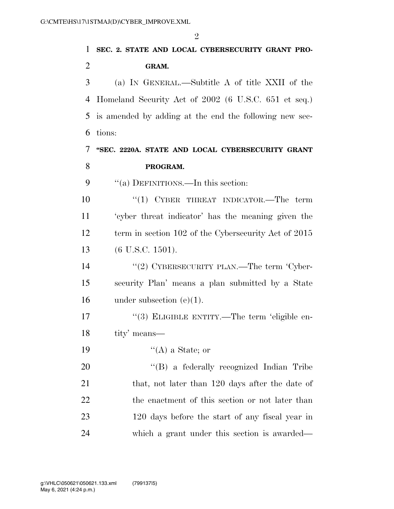| $\mathbf{1}$   | SEC. 2. STATE AND LOCAL CYBERSECURITY GRANT PRO-       |
|----------------|--------------------------------------------------------|
| $\overline{2}$ | GRAM.                                                  |
| 3              | (a) IN GENERAL.—Subtitle A of title XXII of the        |
| $\overline{4}$ | Homeland Security Act of 2002 (6 U.S.C. 651 et seq.)   |
| 5              | is amended by adding at the end the following new sec- |
| 6              | tions:                                                 |
| 7              | "SEC. 2220A. STATE AND LOCAL CYBERSECURITY GRANT       |
| 8              | PROGRAM.                                               |
| 9              | "(a) DEFINITIONS.—In this section:                     |
| 10             | "(1) CYBER THREAT INDICATOR.—The term                  |
| 11             | 'cyber threat indicator' has the meaning given the     |
| 12             | term in section 102 of the Cybersecurity Act of 2015   |
| 13             | $(6$ U.S.C. 1501).                                     |
| 14             | "(2) CYBERSECURITY PLAN.—The term 'Cyber-              |
| 15             | security Plan' means a plan submitted by a State       |
| 16             | under subsection $(e)(1)$ .                            |
| 17             | "(3) ELIGIBLE ENTITY.—The term 'eligible en-           |
| 18             | tity' means—                                           |
| 19             | $\lq\lq (A)$ a State; or                               |
| 20             | "(B) a federally recognized Indian Tribe               |
| 21             | that, not later than 120 days after the date of        |
| 22             | the enactment of this section or not later than        |
| 23             | 120 days before the start of any fiscal year in        |
| 24             | which a grant under this section is awarded—           |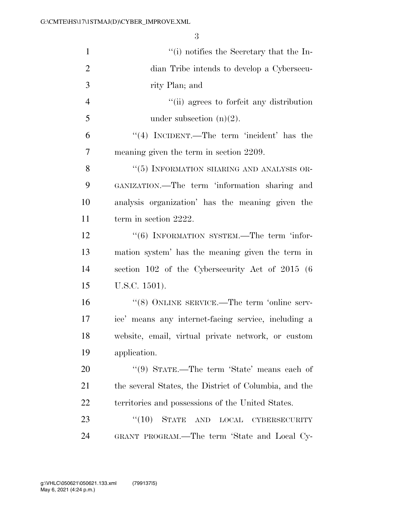| $\mathbf{1}$   | "(i) notifies the Secretary that the In-              |
|----------------|-------------------------------------------------------|
| $\overline{2}$ | dian Tribe intends to develop a Cybersecu-            |
| 3              | rity Plan; and                                        |
| $\overline{4}$ | "(ii) agrees to forfeit any distribution              |
| 5              | under subsection $(n)(2)$ .                           |
| 6              | $\lq(4)$ INCIDENT.—The term 'incident' has the        |
| 7              | meaning given the term in section 2209.               |
| 8              | "(5) INFORMATION SHARING AND ANALYSIS OR-             |
| 9              | GANIZATION.—The term 'information sharing and         |
| 10             | analysis organization' has the meaning given the      |
| 11             | term in section 2222.                                 |
| 12             | "(6) INFORMATION SYSTEM.—The term 'infor-             |
| 13             | mation system' has the meaning given the term in      |
| 14             | section 102 of the Cybersecurity Act of 2015 (6       |
| 15             | U.S.C. 1501).                                         |
| 16             | "(8) ONLINE SERVICE.—The term 'online serv-           |
| 17             | ice' means any internet-facing service, including a   |
| 18             | website, email, virtual private network, or custom    |
| 19             | application.                                          |
| 20             | "(9) STATE.—The term 'State' means each of            |
| 21             | the several States, the District of Columbia, and the |
| 22             | territories and possessions of the United States.     |
| 23             | (10)<br><b>STATE</b><br>LOCAL<br>AND<br>CYBERSECURITY |
| 24             | GRANT PROGRAM.—The term 'State and Local Cy-          |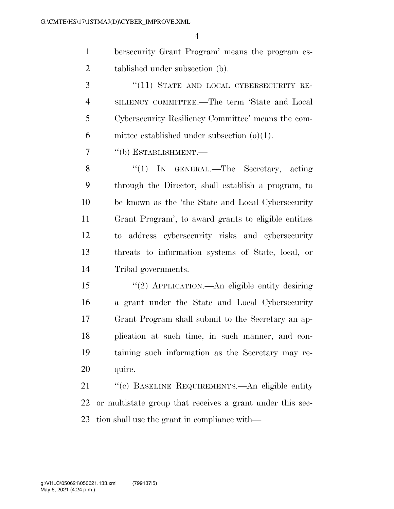bersecurity Grant Program' means the program es-tablished under subsection (b).

3 "(11) STATE AND LOCAL CYBERSECURITY RE- SILIENCY COMMITTEE.—The term 'State and Local Cybersecurity Resiliency Committee' means the com-mittee established under subsection (o)(1).

# ''(b) ESTABLISHMENT.—

8 "(1) IN GENERAL.—The Secretary, acting through the Director, shall establish a program, to be known as the 'the State and Local Cybersecurity Grant Program', to award grants to eligible entities to address cybersecurity risks and cybersecurity threats to information systems of State, local, or Tribal governments.

 ''(2) APPLICATION.—An eligible entity desiring a grant under the State and Local Cybersecurity Grant Program shall submit to the Secretary an ap- plication at such time, in such manner, and con- taining such information as the Secretary may re-quire.

 ''(c) BASELINE REQUIREMENTS.—An eligible entity or multistate group that receives a grant under this sec-tion shall use the grant in compliance with—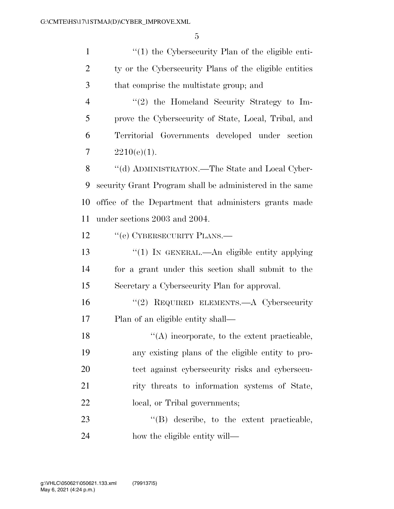1 ''(1) the Cybersecurity Plan of the eligible enti-2 ty or the Cybersecurity Plans of the eligible entities that comprise the multistate group; and 4 "(2) the Homeland Security Strategy to Im- prove the Cybersecurity of State, Local, Tribal, and Territorial Governments developed under section  $2210(e)(1)$ . 8 "(d) ADMINISTRATION.—The State and Local Cyber- security Grant Program shall be administered in the same office of the Department that administers grants made under sections 2003 and 2004. 12 <sup>''</sup>(e) CYBERSECURITY PLANS.— 13 "(1) IN GENERAL.—An eligible entity applying for a grant under this section shall submit to the Secretary a Cybersecurity Plan for approval. ''(2) REQUIRED ELEMENTS.—A Cybersecurity Plan of an eligible entity shall—  $\langle (A) \rangle$  incorporate, to the extent practicable, any existing plans of the eligible entity to pro- tect against cybersecurity risks and cybersecu-21 rity threats to information systems of State, 22 local, or Tribal governments; 23 "(B) describe, to the extent practicable, how the eligible entity will—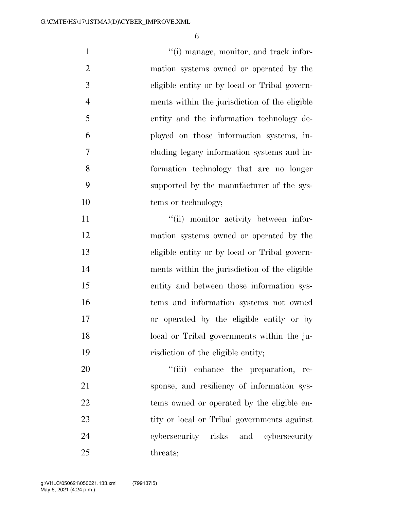$\frac{1}{1}$  (i) manage, monitor, and track infor- mation systems owned or operated by the eligible entity or by local or Tribal govern- ments within the jurisdiction of the eligible entity and the information technology de- ployed on those information systems, in- cluding legacy information systems and in- formation technology that are no longer supported by the manufacturer of the sys-10 tems or technology;  $"$ (ii) monitor activity between infor- mation systems owned or operated by the eligible entity or by local or Tribal govern- ments within the jurisdiction of the eligible entity and between those information sys- tems and information systems not owned or operated by the eligible entity or by local or Tribal governments within the ju- risdiction of the eligible entity;  $\frac{1}{20}$  enhance the preparation, re- sponse, and resiliency of information sys-tems owned or operated by the eligible en-

23 tity or local or Tribal governments against cybersecurity risks and cybersecurity 25 threats: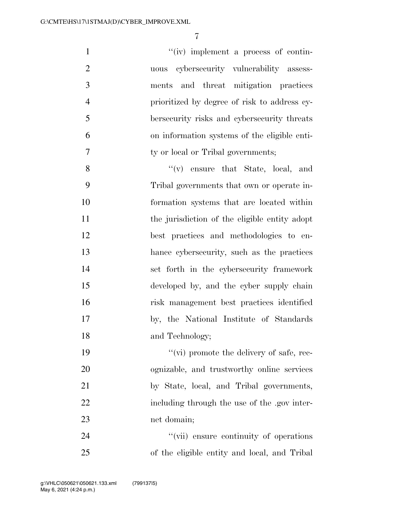$''(iv)$  implement a process of contin- uous cybersecurity vulnerability assess- ments and threat mitigation practices prioritized by degree of risk to address cy- bersecurity risks and cybersecurity threats on information systems of the eligible enti-7 ty or local or Tribal governments; 8 ''(v) ensure that State, local, and Tribal governments that own or operate in- formation systems that are located within 11 the jurisdiction of the eligible entity adopt best practices and methodologies to en-

 hance cybersecurity, such as the practices set forth in the cybersecurity framework developed by, and the cyber supply chain risk management best practices identified by, the National Institute of Standards and Technology;

 $''(\vec{v})$  promote the delivery of safe, rec- ognizable, and trustworthy online services by State, local, and Tribal governments, 22 including through the use of the .gov inter-net domain;

24  $\frac{1}{2}$   $\frac{1}{2}$   $\frac{1}{2}$   $\frac{1}{2}$  ensure continuity of operations of the eligible entity and local, and Tribal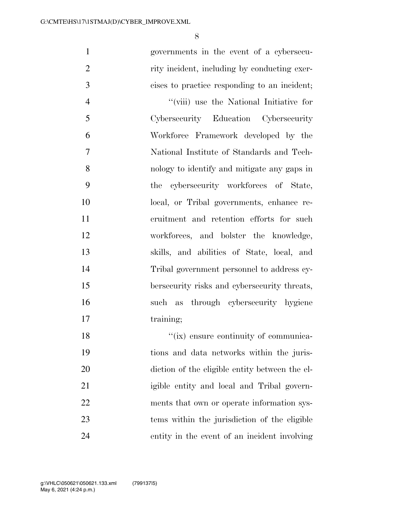| $\mathbf{1}$   | governments in the event of a cybersecu-       |
|----------------|------------------------------------------------|
| $\overline{2}$ | rity incident, including by conducting exer-   |
| 3              | cises to practice responding to an incident;   |
| $\overline{4}$ | "(viii) use the National Initiative for        |
| 5              | Cybersecurity Education Cybersecurity          |
| 6              | Workforce Framework developed by the           |
| $\tau$         | National Institute of Standards and Tech-      |
| 8              | nology to identify and mitigate any gaps in    |
| 9              | the cybersecurity workforces of State,         |
| 10             | local, or Tribal governments, enhance re-      |
| 11             | cruitment and retention efforts for such       |
| 12             | workforces, and bolster the knowledge,         |
| 13             | skills, and abilities of State, local, and     |
| 14             | Tribal government personnel to address cy-     |
| 15             | bersecurity risks and cybersecurity threats,   |
| 16             | such as through cybersecurity hygiene          |
| 17             | training;                                      |
| 18             | "(ix) ensure continuity of communica-          |
| 19             | tions and data networks within the juris-      |
| 20             | diction of the eligible entity between the el- |
| 21             | igible entity and local and Tribal govern-     |
| 22             | ments that own or operate information sys-     |
| 23             | tems within the jurisdiction of the eligible   |
| 24             | entity in the event of an incident involving   |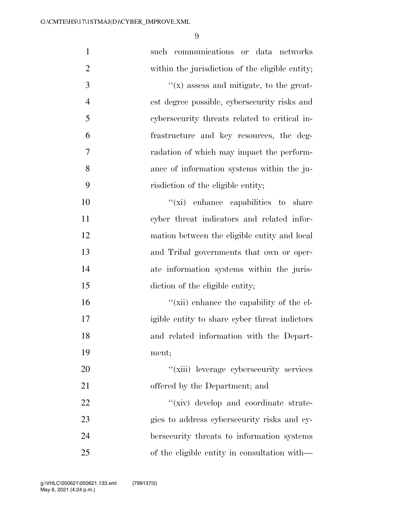| $\mathbf{1}$   | such communications or data networks            |
|----------------|-------------------------------------------------|
| $\overline{2}$ | within the jurisdiction of the eligible entity; |
| 3              | $f(x)$ assess and mitigate, to the great-       |
| $\overline{4}$ | est degree possible, cybersecurity risks and    |
| 5              | cybersecurity threats related to critical in-   |
| 6              | frastructure and key resources, the deg-        |
| 7              | radation of which may impact the perform-       |
| 8              | ance of information systems within the ju-      |
| 9              | risdiction of the eligible entity;              |
| 10             | $f(x)$ enhance capabilities to share            |
| 11             | cyber threat indicators and related infor-      |
| 12             | mation between the eligible entity and local    |
| 13             | and Tribal governments that own or oper-        |
| 14             | ate information systems within the juris-       |
| 15             | diction of the eligible entity;                 |
| 16             | "(xii) enhance the capability of the el-        |
| 17             | igible entity to share cyber threat indictors   |
| 18             | and related information with the Depart-        |
| 19             | ment;                                           |
| 20             | "(xiii) leverage cybersecurity services         |
| 21             | offered by the Department; and                  |
| 22             | "(xiv) develop and coordinate strate-           |
| 23             | gies to address cybersecurity risks and cy-     |
| 24             | bersecurity threats to information systems      |
| 25             | of the eligible entity in consultation with—    |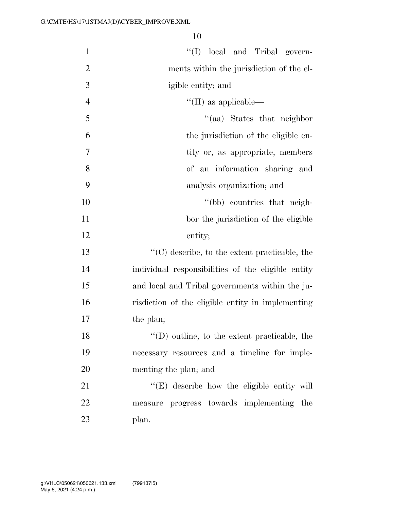| $\mathbf{1}$   | "(I) local and Tribal govern-                                      |
|----------------|--------------------------------------------------------------------|
| $\overline{2}$ | ments within the jurisdiction of the el-                           |
| 3              | igible entity; and                                                 |
| $\overline{4}$ | $\lq\lq$ (II) as applicable—                                       |
| 5              | "(aa) States that neighbor                                         |
| 6              | the jurisdiction of the eligible en-                               |
| $\overline{7}$ | tity or, as appropriate, members                                   |
| 8              | of an information sharing and                                      |
| 9              | analysis organization; and                                         |
| 10             | "(bb) countries that neigh-                                        |
| 11             | bor the jurisdiction of the eligible                               |
| 12             | entity;                                                            |
| 13             | $\lq\lq$ <sup>c</sup> (C) describe, to the extent practicable, the |
| 14             | individual responsibilities of the eligible entity                 |
| 15             | and local and Tribal governments within the ju-                    |
| 16             | risdiction of the eligible entity in implementing                  |
| 17             | the plan;                                                          |
| 18             | $\lq\lq$ (D) outline, to the extent practicable, the               |
| 19             | necessary resources and a timeline for imple-                      |
| 20             | menting the plan; and                                              |
| 21             | $\lq\lq$ (E) describe how the eligible entity will                 |
| 22             | measure progress towards implementing the                          |
| 23             | plan.                                                              |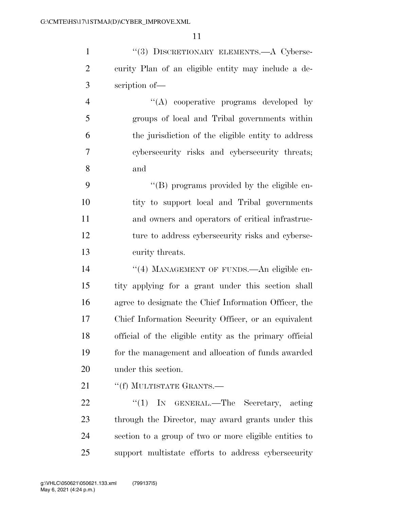1 "(3) DISCRETIONARY ELEMENTS.—A Cyberse- curity Plan of an eligible entity may include a de-scription of—

 $\langle A \rangle$  cooperative programs developed by groups of local and Tribal governments within the jurisdiction of the eligible entity to address cybersecurity risks and cybersecurity threats; and

 $\langle$  (B) programs provided by the eligible en- tity to support local and Tribal governments and owners and operators of critical infrastruc- ture to address cybersecurity risks and cyberse-curity threats.

14 "(4) MANAGEMENT OF FUNDS.—An eligible en- tity applying for a grant under this section shall agree to designate the Chief Information Officer, the Chief Information Security Officer, or an equivalent official of the eligible entity as the primary official for the management and allocation of funds awarded under this section.

21 ""(f) MULTISTATE GRANTS.—

22 "(1) In GENERAL.—The Secretary, acting through the Director, may award grants under this section to a group of two or more eligible entities to support multistate efforts to address cybersecurity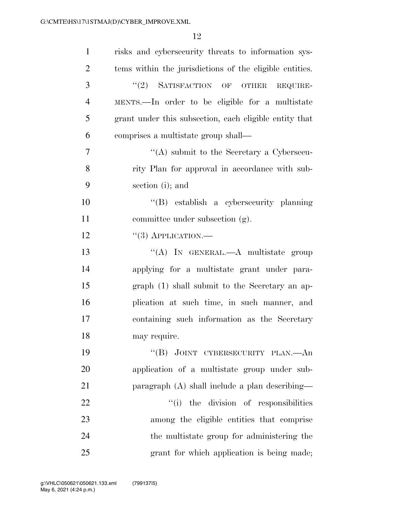| $\mathbf{1}$   | risks and cybersecurity threats to information sys-     |
|----------------|---------------------------------------------------------|
| $\overline{2}$ | tems within the jurisdictions of the eligible entities. |
| 3              | $(2)$ SATISFACTION OF OTHER<br>REQUIRE-                 |
| $\overline{4}$ | MENTS.—In order to be eligible for a multistate         |
| 5              | grant under this subsection, each eligible entity that  |
| 6              | comprises a multistate group shall—                     |
| 7              | "(A) submit to the Secretary a Cybersecu-               |
| 8              | rity Plan for approval in accordance with sub-          |
| 9              | section (i); and                                        |
| 10             | "(B) establish a cybersecurity planning                 |
| 11             | committee under subsection (g).                         |
| 12             | $``(3)$ APPLICATION.—                                   |
| 13             | "(A) IN GENERAL.—A multistate group                     |
| 14             | applying for a multistate grant under para-             |
| 15             | graph (1) shall submit to the Secretary an ap-          |
| 16             | plication at such time, in such manner, and             |
| 17             | containing such information as the Secretary            |
| 18             | may require.                                            |
| 19             | "(B) JOINT CYBERSECURITY PLAN.—An                       |
| 20             | application of a multistate group under sub-            |
| 21             | paragraph (A) shall include a plan describing—          |
| 22             | "(i) the division of responsibilities                   |
| 23             | among the eligible entities that comprise               |
| 24             | the multistate group for administering the              |
| 25             | grant for which application is being made;              |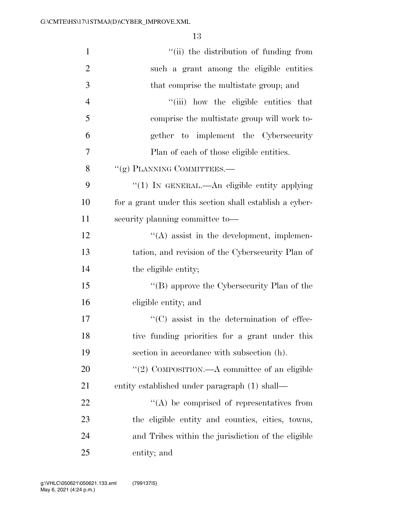| $\mathbf{1}$   | "(ii) the distribution of funding from                  |
|----------------|---------------------------------------------------------|
| $\overline{2}$ | such a grant among the eligible entities                |
| 3              | that comprise the multistate group; and                 |
| $\overline{4}$ | "(iii) how the eligible entities that                   |
| 5              | comprise the multistate group will work to-             |
| 6              | gether to implement the Cybersecurity                   |
| 7              | Plan of each of those eligible entities.                |
| 8              | "(g) PLANNING COMMITTEES.-                              |
| 9              | "(1) In GENERAL.—An eligible entity applying            |
| 10             | for a grant under this section shall establish a cyber- |
| 11             | security planning committee to-                         |
| 12             | $\lq\lq$ assist in the development, implemen-           |
| 13             | tation, and revision of the Cybersecurity Plan of       |
| 14             | the eligible entity;                                    |
| 15             | "(B) approve the Cybersecurity Plan of the              |
| 16             | eligible entity; and                                    |
| 17             | $\lq\lq$ consistent in the determination of effec-      |
| 18             | tive funding priorities for a grant under this          |
| 19             | section in accordance with subsection (h).              |
| 20             | "(2) COMPOSITION.—A committee of an eligible            |
| 21             | entity established under paragraph (1) shall—           |
| 22             | $\lq\lq$ be comprised of representatives from           |
| 23             | the eligible entity and counties, cities, towns,        |
| 24             | and Tribes within the jurisdiction of the eligible      |
| 25             | entity; and                                             |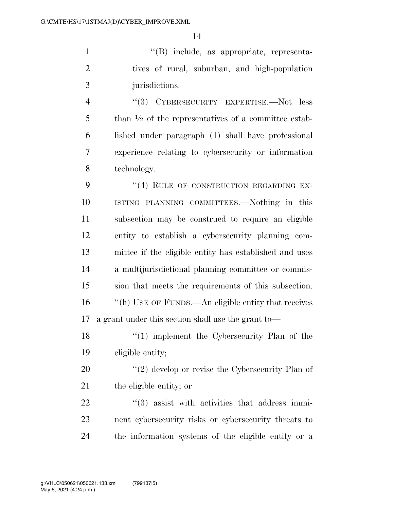''(B) include, as appropriate, representa- tives of rural, suburban, and high-population jurisdictions.

 ''(3) CYBERSECURITY EXPERTISE.—Not less 5 than  $\frac{1}{2}$  of the representatives of a committee estab- lished under paragraph (1) shall have professional experience relating to cybersecurity or information technology.

9 "(4) RULE OF CONSTRUCTION REGARDING EX- ISTING PLANNING COMMITTEES.—Nothing in this subsection may be construed to require an eligible entity to establish a cybersecurity planning com- mittee if the eligible entity has established and uses a multijurisdictional planning committee or commis- sion that meets the requirements of this subsection. ''(h) USE OF FUNDS.—An eligible entity that receives a grant under this section shall use the grant to—

18 ''(1) implement the Cybersecurity Plan of the eligible entity;

20  $\frac{1}{2}$  (2) develop or revise the Cybersecurity Plan of the eligible entity; or

  $(3)$  assist with activities that address immi- nent cybersecurity risks or cybersecurity threats to the information systems of the eligible entity or a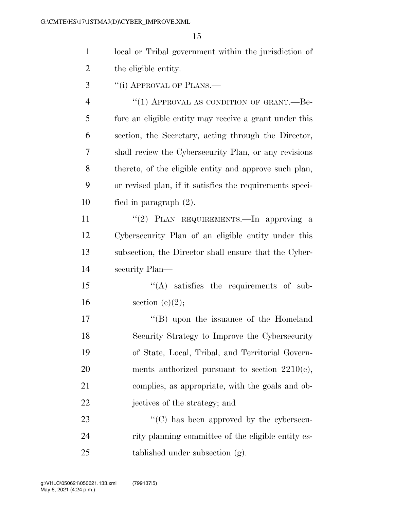| local or Tribal government within the jurisdiction of |
|-------------------------------------------------------|
| the eligible entity.                                  |

3 "(i) APPROVAL OF PLANS.—

4 "(1) APPROVAL AS CONDITION OF GRANT.—Be- fore an eligible entity may receive a grant under this section, the Secretary, acting through the Director, shall review the Cybersecurity Plan, or any revisions thereto, of the eligible entity and approve such plan, or revised plan, if it satisfies the requirements speci-fied in paragraph (2).

11 "(2) PLAN REQUIREMENTS.—In approving a Cybersecurity Plan of an eligible entity under this subsection, the Director shall ensure that the Cyber-security Plan—

15 "(A) satisfies the requirements of sub-16 section  $(e)(2)$ ;

17 ''(B) upon the issuance of the Homeland Security Strategy to Improve the Cybersecurity of State, Local, Tribal, and Territorial Govern- ments authorized pursuant to section 2210(e), complies, as appropriate, with the goals and ob-jectives of the strategy; and

23  $\cdot$  (C) has been approved by the cybersecu- rity planning committee of the eligible entity es-tablished under subsection (g).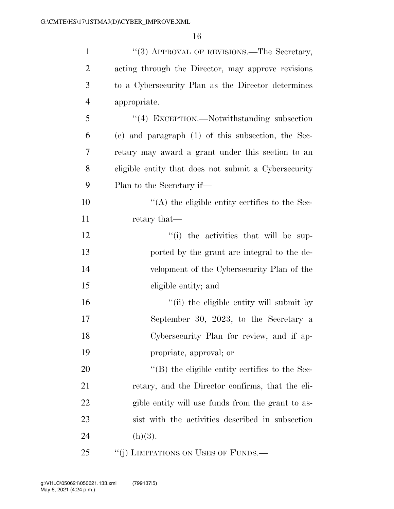| $\mathbf{1}$   | "(3) APPROVAL OF REVISIONS.—The Secretary,           |
|----------------|------------------------------------------------------|
| $\overline{2}$ | acting through the Director, may approve revisions   |
| 3              | to a Cybersecurity Plan as the Director determines   |
| $\overline{4}$ | appropriate.                                         |
| 5              | "(4) EXCEPTION.—Notwithstanding subsection           |
| 6              | (e) and paragraph $(1)$ of this subsection, the Sec- |
| 7              | retary may award a grant under this section to an    |
| 8              | eligible entity that does not submit a Cybersecurity |
| 9              | Plan to the Secretary if—                            |
| 10             | $\lq\lq$ the eligible entity certifies to the Sec-   |
| 11             | retary that—                                         |
| 12             | "(i) the activities that will be sup-                |
| 13             | ported by the grant are integral to the de-          |
| 14             | velopment of the Cybersecurity Plan of the           |
| 15             | eligible entity; and                                 |
| 16             | "(ii) the eligible entity will submit by             |
| 17             | September 30, 2023, to the Secretary a               |
| 18             | Cybersecurity Plan for review, and if ap-            |
| 19             | propriate, approval; or                              |
| 20             | $\lq\lq$ the eligible entity certifies to the Sec-   |
| 21             | retary, and the Director confirms, that the eli-     |
| 22             | gible entity will use funds from the grant to as-    |
| 23             | sist with the activities described in subsection     |
| 24             | (h)(3).                                              |
| 25             | "(j) LIMITATIONS ON USES OF FUNDS.—                  |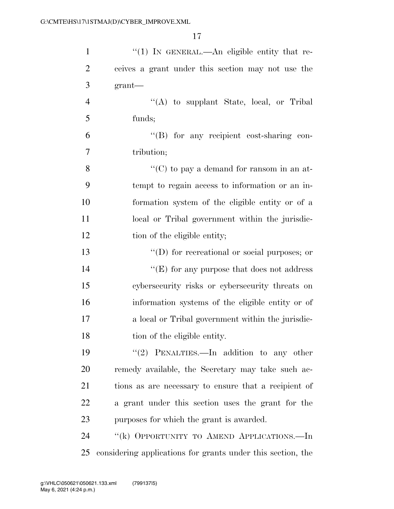| $\mathbf{1}$   | $\lq(1)$ In GENERAL.—An eligible entity that re-            |
|----------------|-------------------------------------------------------------|
| $\overline{2}$ | ceives a grant under this section may not use the           |
| 3              | $grant$ —                                                   |
| $\overline{4}$ | $\lq\lq$ to supplant State, local, or Tribal                |
| 5              | funds;                                                      |
| 6              | "(B) for any recipient cost-sharing con-                    |
| 7              | tribution;                                                  |
| 8              | "(C) to pay a demand for ransom in an at-                   |
| 9              | tempt to regain access to information or an in-             |
| 10             | formation system of the eligible entity or of a             |
| 11             | local or Tribal government within the jurisdic-             |
| 12             | tion of the eligible entity;                                |
| 13             | $\lq\lq$ (D) for recreational or social purposes; or        |
| 14             | "(E) for any purpose that does not address                  |
| 15             | cybersecurity risks or cybersecurity threats on             |
| 16             | information systems of the eligible entity or of            |
| 17             | a local or Tribal government within the jurisdic-           |
| 18             | tion of the eligible entity.                                |
| 19             | "(2) PENALTIES.—In addition to any other                    |
| 20             | remedy available, the Secretary may take such ac-           |
| 21             | tions as are necessary to ensure that a recipient of        |
| 22             | a grant under this section uses the grant for the           |
| 23             | purposes for which the grant is awarded.                    |
| 24             | "(k) OPPORTUNITY TO AMEND APPLICATIONS.—In                  |
| 25             | considering applications for grants under this section, the |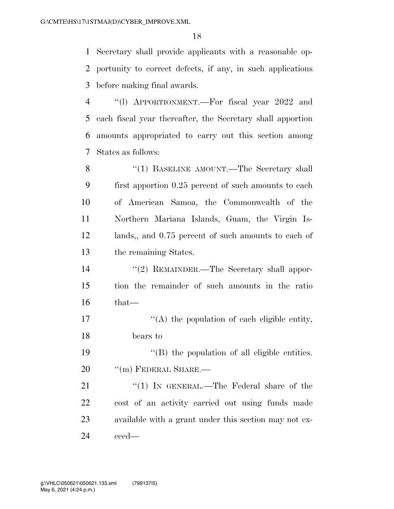Secretary shall provide applicants with a reasonable op- portunity to correct defects, if any, in such applications before making final awards.

 ''(l) APPORTIONMENT.—For fiscal year 2022 and each fiscal year thereafter, the Secretary shall apportion amounts appropriated to carry out this section among States as follows:

8 "(1) BASELINE AMOUNT.—The Secretary shall first apportion 0.25 percent of such amounts to each of American Samoa, the Commonwealth of the Northern Mariana Islands, Guam, the Virgin Is- lands,, and 0.75 percent of such amounts to each of the remaining States.

 ''(2) REMAINDER.—The Secretary shall appor- tion the remainder of such amounts in the ratio that—

 $'$ (A) the population of each eligible entity, bears to

19  $\langle$  (B) the population of all eligible entities. 20 <sup>"</sup>(m) FEDERAL SHARE.—

21 "(1) In GENERAL.—The Federal share of the cost of an activity carried out using funds made available with a grant under this section may not ex-ceed—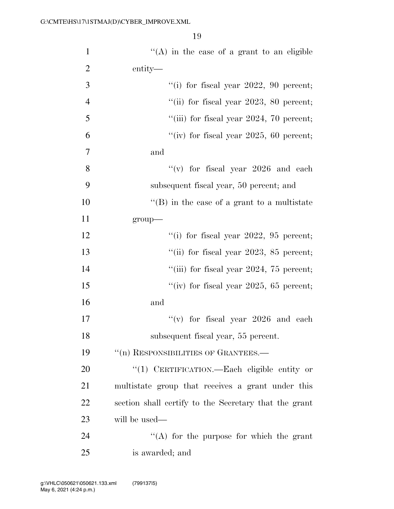| $\mathbf{1}$   | "(A) in the case of a grant to an eligible            |
|----------------|-------------------------------------------------------|
| $\overline{2}$ | entity—                                               |
| 3              | "(i) for fiscal year $2022$ , 90 percent;             |
| $\overline{4}$ | "(ii) for fiscal year $2023$ , 80 percent;            |
| 5              | "(iii) for fiscal year $2024$ , 70 percent;           |
| 6              | "(iv) for fiscal year 2025, 60 percent;               |
| $\overline{7}$ | and                                                   |
| 8              | "(v) for fiscal year $2026$ and each                  |
| 9              | subsequent fiscal year, 50 percent; and               |
| 10             | $\lq\lq$ (B) in the case of a grant to a multistate   |
| 11             | group-                                                |
| 12             | "(i) for fiscal year $2022$ , $95$ percent;           |
| 13             | "(ii) for fiscal year $2023$ , $85$ percent;          |
| 14             | "(iii) for fiscal year $2024$ , 75 percent;           |
| 15             | "(iv) for fiscal year 2025, 65 percent;               |
| 16             | and                                                   |
| 17             | "(v) for fiscal year $2026$ and each                  |
| 18             | subsequent fiscal year, 55 percent.                   |
| 19             | "(n) RESPONSIBILITIES OF GRANTEES.-                   |
| 20             | "(1) CERTIFICATION.—Each eligible entity or           |
| 21             | multistate group that receives a grant under this     |
| 22             | section shall certify to the Secretary that the grant |
| 23             | will be used—                                         |
| 24             | "(A) for the purpose for which the grant              |
| 25             | is awarded; and                                       |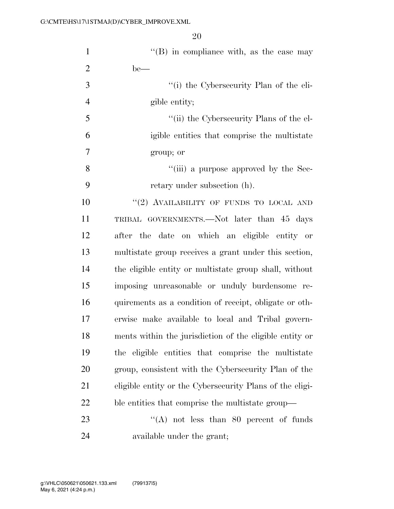| $\mathbf{1}$   | $\lq\lq$ (B) in compliance with, as the case may         |
|----------------|----------------------------------------------------------|
| $\overline{2}$ | $be$ —                                                   |
| 3              | "(i) the Cybersecurity Plan of the eli-                  |
| $\overline{4}$ | gible entity;                                            |
| 5              | "(ii) the Cybersecurity Plans of the el-                 |
| 6              | igible entities that comprise the multistate             |
| $\overline{7}$ | group; or                                                |
| 8              | "(iii) a purpose approved by the Sec-                    |
| 9              | retary under subsection (h).                             |
| 10             | "(2) AVAILABILITY OF FUNDS TO LOCAL AND                  |
| 11             | TRIBAL GOVERNMENTS.—Not later than 45 days               |
| 12             | after the date on which an eligible entity or            |
| 13             | multistate group receives a grant under this section,    |
| 14             | the eligible entity or multistate group shall, without   |
| 15             | imposing unreasonable or unduly burdensome re-           |
| 16             | quirements as a condition of receipt, obligate or oth-   |
| 17             | erwise make available to local and Tribal govern-        |
| 18             | ments within the jurisdiction of the eligible entity or  |
| 19             | the eligible entities that comprise the multistate       |
| 20             | group, consistent with the Cybersecurity Plan of the     |
| 21             | eligible entity or the Cybersecurity Plans of the eligi- |
| 22             | ble entities that comprise the multistate group—         |
| 23             | "(A) not less than 80 percent of funds                   |
| 24             | available under the grant;                               |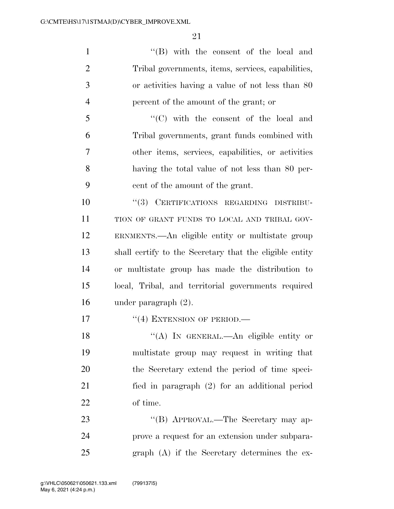''(B) with the consent of the local and Tribal governments, items, services, capabilities, or activities having a value of not less than 80 percent of the amount of the grant; or

 ''(C) with the consent of the local and Tribal governments, grant funds combined with other items, services, capabilities, or activities having the total value of not less than 80 per-cent of the amount of the grant.

 ''(3) CERTIFICATIONS REGARDING DISTRIBU- TION OF GRANT FUNDS TO LOCAL AND TRIBAL GOV- ERNMENTS.—An eligible entity or multistate group shall certify to the Secretary that the eligible entity or multistate group has made the distribution to local, Tribal, and territorial governments required under paragraph (2).

17 "(4) EXTENSION OF PERIOD.—

18 "(A) In GENERAL.—An eligible entity or multistate group may request in writing that the Secretary extend the period of time speci- fied in paragraph (2) for an additional period of time.

23 "'(B) APPROVAL.—The Secretary may ap- prove a request for an extension under subpara-graph (A) if the Secretary determines the ex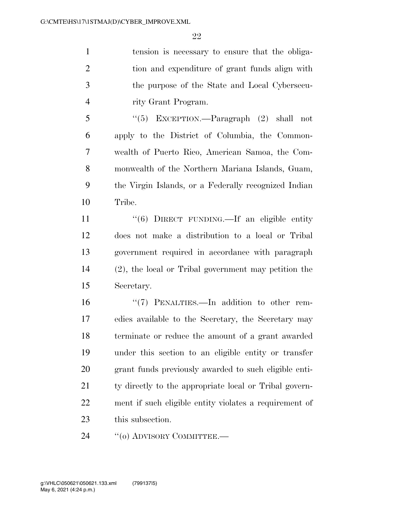tension is necessary to ensure that the obliga- tion and expenditure of grant funds align with the purpose of the State and Local Cybersecu-rity Grant Program.

 ''(5) EXCEPTION.—Paragraph (2) shall not apply to the District of Columbia, the Common- wealth of Puerto Rico, American Samoa, the Com- monwealth of the Northern Mariana Islands, Guam, the Virgin Islands, or a Federally recognized Indian Tribe.

11 ''(6) DIRECT FUNDING.—If an eligible entity does not make a distribution to a local or Tribal government required in accordance with paragraph (2), the local or Tribal government may petition the Secretary.

 ''(7) PENALTIES.—In addition to other rem- edies available to the Secretary, the Secretary may terminate or reduce the amount of a grant awarded under this section to an eligible entity or transfer grant funds previously awarded to such eligible enti-21 ty directly to the appropriate local or Tribal govern- ment if such eligible entity violates a requirement of this subsection.

24 "(o) ADVISORY COMMITTEE.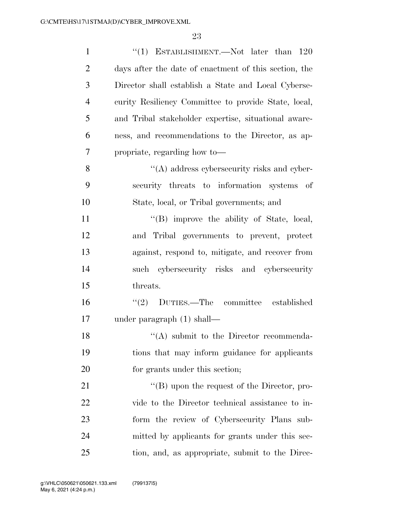| $\mathbf{1}$   | "(1) ESTABLISHMENT.—Not later than $120$              |
|----------------|-------------------------------------------------------|
| $\overline{2}$ | days after the date of enactment of this section, the |
| 3              | Director shall establish a State and Local Cyberse-   |
| $\overline{4}$ | curity Resiliency Committee to provide State, local,  |
| 5              | and Tribal stakeholder expertise, situational aware-  |
| 6              | ness, and recommendations to the Director, as ap-     |
| 7              | propriate, regarding how to-                          |
| 8              | $\lq\lq$ address cybersecurity risks and cyber-       |
| 9              | security threats to information systems of            |
| 10             | State, local, or Tribal governments; and              |
| 11             | $\lq\lq$ . improve the ability of State, local,       |
| 12             | and Tribal governments to prevent, protect            |
| 13             | against, respond to, mitigate, and recover from       |
| 14             | such cybersecurity risks and cybersecurity            |
| 15             | threats.                                              |
| 16             | "(2) DUTIES.—The committee established                |
| 17             | under paragraph $(1)$ shall—                          |
| 18             | $\lq($ A) submit to the Director recommenda-          |
| 19             | tions that may inform guidance for applicants         |
| 20             | for grants under this section;                        |
| 21             | " $(B)$ upon the request of the Director, pro-        |
| 22             | vide to the Director technical assistance to in-      |
| 23             | form the review of Cybersecurity Plans sub-           |
| 24             | mitted by applicants for grants under this sec-       |
| 25             | tion, and, as appropriate, submit to the Direc-       |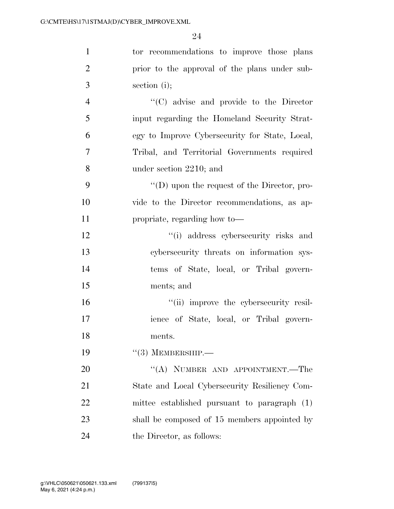| $\mathbf{1}$     | tor recommendations to improve those plans          |
|------------------|-----------------------------------------------------|
| $\overline{2}$   | prior to the approval of the plans under sub-       |
| 3                | section (i);                                        |
| $\overline{4}$   | "(C) advise and provide to the Director             |
| 5                | input regarding the Homeland Security Strat-        |
| 6                | egy to Improve Cybersecurity for State, Local,      |
| $\boldsymbol{7}$ | Tribal, and Territorial Governments required        |
| 8                | under section 2210; and                             |
| 9                | $\lq\lq$ (D) upon the request of the Director, pro- |
| 10               | vide to the Director recommendations, as ap-        |
| 11               | propriate, regarding how to-                        |
| 12               | "(i) address cybersecurity risks and                |
| 13               | cybersecurity threats on information sys-           |
| 14               | tems of State, local, or Tribal govern-             |
| 15               | ments; and                                          |
| 16               | "(ii) improve the cybersecurity resil-              |
| 17               | ience of State, local, or Tribal govern-            |
| 18               | ments.                                              |
| 19               | $\lq(3)$ MEMBERSHIP.—                               |
| 20               | "(A) NUMBER AND APPOINTMENT.—The                    |
| 21               | State and Local Cybersecurity Resiliency Com-       |
| 22               | mittee established pursuant to paragraph (1)        |
| 23               | shall be composed of 15 members appointed by        |
| 24               | the Director, as follows:                           |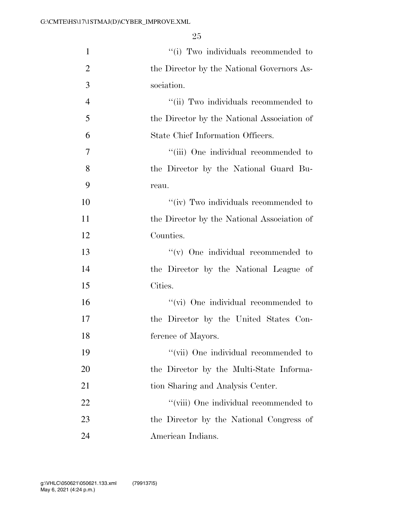| $\mathbf{1}$   | "(i) Two individuals recommended to         |
|----------------|---------------------------------------------|
| $\overline{2}$ | the Director by the National Governors As-  |
| 3              | sociation.                                  |
| $\overline{4}$ | "(ii) Two individuals recommended to        |
| 5              | the Director by the National Association of |
| 6              | State Chief Information Officers.           |
| 7              | "(iii) One individual recommended to        |
| 8              | the Director by the National Guard Bu-      |
| 9              | reau.                                       |
| 10             | "(iv) Two individuals recommended to        |
| 11             | the Director by the National Association of |
| 12             | Counties.                                   |
| 13             | $\lq\lq$ One individual recommended to      |
| 14             | the Director by the National League of      |
| 15             | Cities.                                     |
| 16             | "(vi) One individual recommended to         |
| 17             | the Director by the United States Con-      |
| 18             | ference of Mayors.                          |
| 19             | "(vii) One individual recommended to        |
| 20             | the Director by the Multi-State Informa-    |
| 21             | tion Sharing and Analysis Center.           |
| 22             | "(viii) One individual recommended to       |
| 23             | the Director by the National Congress of    |
| 24             | American Indians.                           |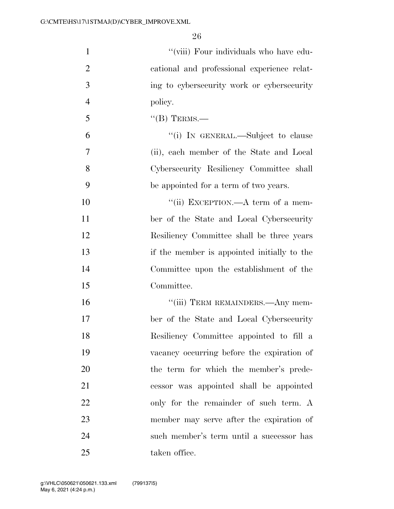| $\mathbf{1}$   | "(viii) Four individuals who have edu-      |
|----------------|---------------------------------------------|
| $\overline{2}$ | cational and professional experience relat- |
| 3              | ing to cybersecurity work or cybersecurity  |
| $\overline{4}$ | policy.                                     |
| 5              | $\lq\lq$ (B) TERMS.—                        |
| 6              | "(i) IN GENERAL.—Subject to clause          |
| 7              | (ii), each member of the State and Local    |
| 8              | Cybersecurity Resiliency Committee shall    |
| 9              | be appointed for a term of two years.       |
| 10             | "(ii) EXCEPTION.—A term of a mem-           |
| 11             | ber of the State and Local Cybersecurity    |
| 12             | Resiliency Committee shall be three years   |
| 13             | if the member is appointed initially to the |
| 14             | Committee upon the establishment of the     |
| 15             | Committee.                                  |
| 16             | "(iii) TERM REMAINDERS.—Any mem-            |
| 17             | ber of the State and Local Cybersecurity    |
| 18             | Resiliency Committee appointed to fill a    |
| 19             | vacancy occurring before the expiration of  |
| 20             | the term for which the member's prede-      |
| 21             | cessor was appointed shall be appointed     |
| 22             | only for the remainder of such term. A      |
| 23             | member may serve after the expiration of    |
| 24             | such member's term until a successor has    |
| 25             | taken office.                               |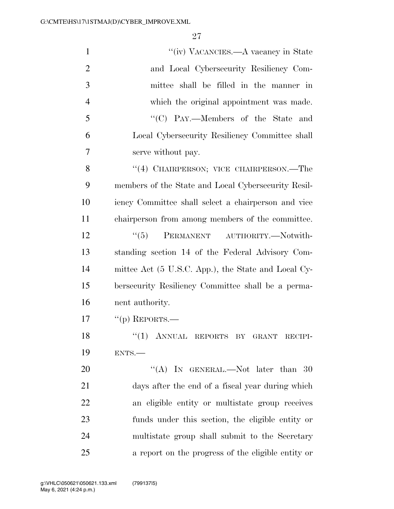| $\mathbf{1}$   | "(iv) VACANCIES.—A vacancy in State                 |
|----------------|-----------------------------------------------------|
| $\overline{2}$ | and Local Cybersecurity Resiliency Com-             |
| 3              | mittee shall be filled in the manner in             |
| $\overline{4}$ | which the original appointment was made.            |
| 5              | "(C) PAY.—Members of the State and                  |
| 6              | Local Cybersecurity Resiliency Committee shall      |
| 7              | serve without pay.                                  |
| 8              | "(4) CHAIRPERSON; VICE CHAIRPERSON.—The             |
| 9              | members of the State and Local Cybersecurity Resil- |
| 10             | iency Committee shall select a chairperson and vice |
| 11             | chairperson from among members of the committee.    |
| 12             | ``(5)<br>PERMANENT AUTHORITY.-Notwith-              |
| 13             | standing section 14 of the Federal Advisory Com-    |
| 14             | mittee Act (5 U.S.C. App.), the State and Local Cy- |
| 15             | bersecurity Resiliency Committee shall be a perma-  |
| 16             | nent authority.                                     |
| 17             | $``(p)$ REPORTS.—                                   |
| 18             | "(1) ANNUAL REPORTS BY GRANT RECIPI-                |
| 19             | ENTS.                                               |
| 20             | "(A) IN GENERAL.—Not later than $30$                |
| 21             | days after the end of a fiscal year during which    |
| 22             | an eligible entity or multistate group receives     |
| 23             | funds under this section, the eligible entity or    |
| 24             | multistate group shall submit to the Secretary      |
| 25             | a report on the progress of the eligible entity or  |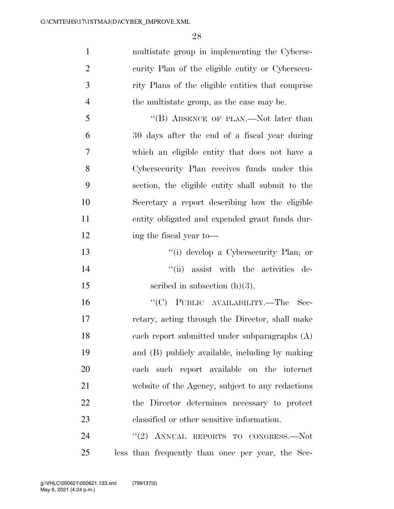multistate group in implementing the Cyberse- curity Plan of the eligible entity or Cybersecu- rity Plans of the eligible entities that comprise the multistate group, as the case may be. 5 "(B) ABSENCE OF PLAN.—Not later than 30 days after the end of a fiscal year during which an eligible entity that does not have a Cybersecurity Plan receives funds under this

 section, the eligible entity shall submit to the Secretary a report describing how the eligible entity obligated and expended grant funds dur-12 ing the fiscal year to—

- ''(i) develop a Cybersecurity Plan; or
- 14  $"$ (ii) assist with the activities de-
- 15 seribed in subsection  $(h)(3)$ .

 ''(C) PUBLIC AVAILABILITY.—The Sec- retary, acting through the Director, shall make each report submitted under subparagraphs (A) and (B) publicly available, including by making each such report available on the internet website of the Agency, subject to any redactions the Director determines necessary to protect classified or other sensitive information.

24 "(2) ANNUAL REPORTS TO CONGRESS.—Not less than frequently than once per year, the Sec-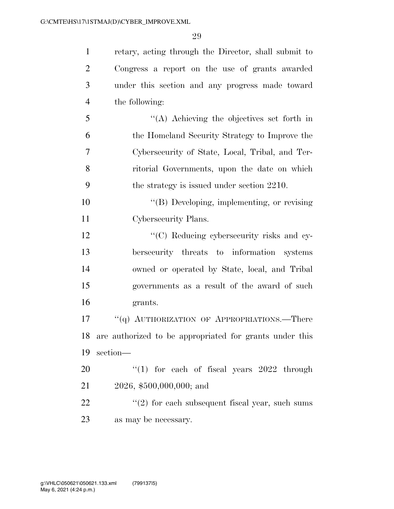retary, acting through the Director, shall submit to Congress a report on the use of grants awarded under this section and any progress made toward the following: ''(A) Achieving the objectives set forth in the Homeland Security Strategy to Improve the Cybersecurity of State, Local, Tribal, and Ter- ritorial Governments, upon the date on which the strategy is issued under section 2210. ''(B) Developing, implementing, or revising Cybersecurity Plans. 12 "'(C) Reducing cybersecurity risks and cy-

 bersecurity threats to information systems owned or operated by State, local, and Tribal governments as a result of the award of such grants.

17 ""(q) AUTHORIZATION OF APPROPRIATIONS.—There are authorized to be appropriated for grants under this section—

20  $\frac{1}{20}$  (1) for each of fiscal years 2022 through 2026, \$500,000,000; and

 $\frac{1}{22}$  ''(2) for each subsequent fiscal year, such sums as may be necessary.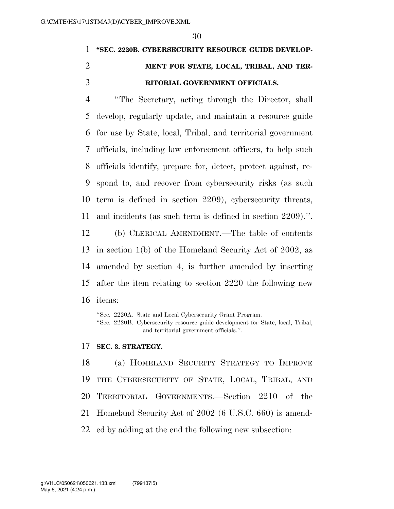# **''SEC. 2220B. CYBERSECURITY RESOURCE GUIDE DEVELOP- MENT FOR STATE, LOCAL, TRIBAL, AND TER-RITORIAL GOVERNMENT OFFICIALS.**

 ''The Secretary, acting through the Director, shall develop, regularly update, and maintain a resource guide for use by State, local, Tribal, and territorial government officials, including law enforcement officers, to help such officials identify, prepare for, detect, protect against, re- spond to, and recover from cybersecurity risks (as such term is defined in section 2209), cybersecurity threats, and incidents (as such term is defined in section 2209).''. (b) CLERICAL AMENDMENT.—The table of contents in section 1(b) of the Homeland Security Act of 2002, as amended by section 4, is further amended by inserting after the item relating to section 2220 the following new

items:

''Sec. 2220A. State and Local Cybersecurity Grant Program. ''Sec. 2220B. Cybersecurity resource guide development for State, local, Tribal, and territorial government officials.''.

#### **SEC. 3. STRATEGY.**

 (a) HOMELAND SECURITY STRATEGY TO IMPROVE THE CYBERSECURITY OF STATE, LOCAL, TRIBAL, AND TERRITORIAL GOVERNMENTS.—Section 2210 of the Homeland Security Act of 2002 (6 U.S.C. 660) is amend-

ed by adding at the end the following new subsection: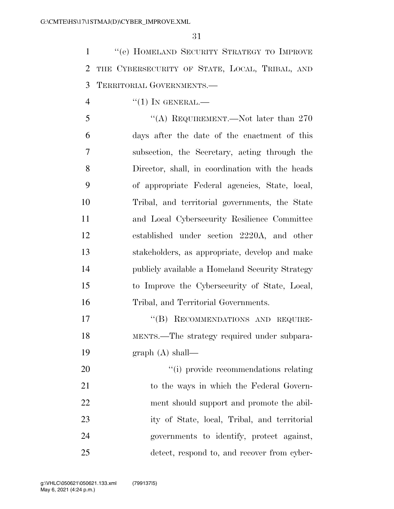''(e) HOMELAND SECURITY STRATEGY TO IMPROVE THE CYBERSECURITY OF STATE, LOCAL, TRIBAL, AND TERRITORIAL GOVERNMENTS.—

 $\frac{4}{1}$   $\frac{1}{1}$  In GENERAL.

5 "(A) REQUIREMENT.—Not later than 270 days after the date of the enactment of this subsection, the Secretary, acting through the Director, shall, in coordination with the heads of appropriate Federal agencies, State, local, Tribal, and territorial governments, the State and Local Cybersecurity Resilience Committee established under section 2220A, and other stakeholders, as appropriate, develop and make publicly available a Homeland Security Strategy to Improve the Cybersecurity of State, Local, Tribal, and Territorial Governments.

17 "(B) RECOMMENDATIONS AND REQUIRE- MENTS.—The strategy required under subpara-graph (A) shall—

 $\frac{1}{1}$  provide recommendations relating 21 to the ways in which the Federal Govern- ment should support and promote the abil- ity of State, local, Tribal, and territorial governments to identify, protect against, detect, respond to, and recover from cyber-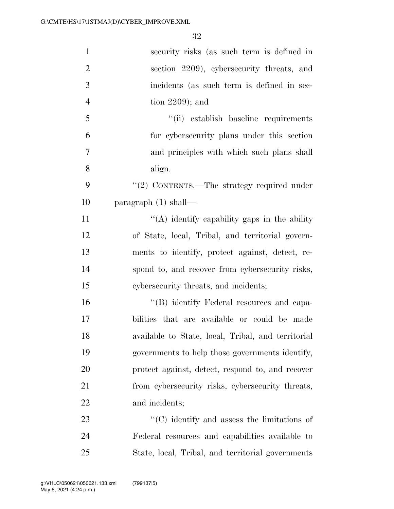| $\mathbf{1}$   | security risks (as such term is defined in                       |
|----------------|------------------------------------------------------------------|
| $\overline{2}$ | section 2209), cybersecurity threats, and                        |
| 3              | incidents (as such term is defined in sec-                       |
| $\overline{4}$ | tion $2209$ ; and                                                |
| 5              | "(ii) establish baseline requirements                            |
| 6              | for cybers ecurity plans under this section                      |
| 7              | and principles with which such plans shall                       |
| 8              | align.                                                           |
| 9              | "(2) CONTENTS.—The strategy required under                       |
| 10             | paragraph $(1)$ shall—                                           |
| 11             | "(A) identify capability gaps in the ability                     |
| 12             | of State, local, Tribal, and territorial govern-                 |
| 13             | ments to identify, protect against, detect, re-                  |
| 14             | spond to, and recover from cybersecurity risks,                  |
| 15             | cybersecurity threats, and incidents;                            |
| 16             | "(B) identify Federal resources and capa-                        |
| 17             | bilities that are available or could be made                     |
| 18             | available to State, local, Tribal, and territorial               |
| 19             | governments to help those governments identify,                  |
| 20             | protect against, detect, respond to, and recover                 |
| 21             | from cybersecurity risks, cybersecurity threats,                 |
| 22             | and incidents;                                                   |
| 23             | $\lq\lq$ <sup>c</sup> (C) identify and assess the limitations of |
| 24             | Federal resources and capabilities available to                  |
| 25             | State, local, Tribal, and territorial governments                |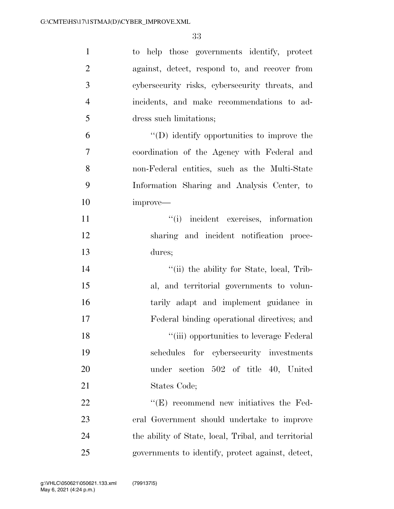| $\mathbf{1}$   | to help those governments identify, protect          |
|----------------|------------------------------------------------------|
| $\overline{2}$ | against, detect, respond to, and recover from        |
| 3              | cybersecurity risks, cybersecurity threats, and      |
| $\overline{4}$ | incidents, and make recommendations to ad-           |
| 5              | dress such limitations;                              |
| 6              | $\lq\lq$ identify opportunities to improve the       |
| $\overline{7}$ | coordination of the Agency with Federal and          |
| 8              | non-Federal entities, such as the Multi-State        |
| 9              | Information Sharing and Analysis Center, to          |
| 10             | improve—                                             |
| 11             | "(i) incident exercises, information                 |
| 12             | sharing and incident notification proce-             |
| 13             | dures;                                               |
| 14             | "(ii) the ability for State, local, Trib-            |
| 15             | al, and territorial governments to volun-            |
| 16             | tarily adapt and implement guidance in               |
| 17             | Federal binding operational directives; and          |
| 18             | "(iii) opportunities to leverage Federal             |
| 19             | schedules for cybersecurity investments              |
| 20             | under section 502 of title 40, United                |
| 21             | States Code;                                         |
| 22             | $\lq\lq(E)$ recommend new initiatives the Fed-       |
| 23             | eral Government should undertake to improve          |
| 24             | the ability of State, local, Tribal, and territorial |
| 25             | governments to identify, protect against, detect,    |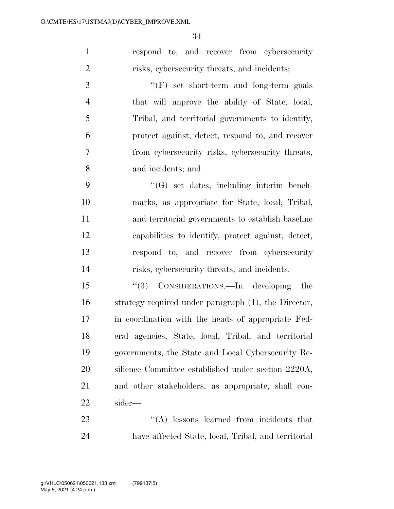respond to, and recover from cybersecurity risks, cybersecurity threats, and incidents;

 ''(F) set short-term and long-term goals that will improve the ability of State, local, Tribal, and territorial governments to identify, protect against, detect, respond to, and recover from cybersecurity risks, cybersecurity threats, and incidents; and

 ''(G) set dates, including interim bench- marks, as appropriate for State, local, Tribal, and territorial governments to establish baseline capabilities to identify, protect against, detect, respond to, and recover from cybersecurity risks, cybersecurity threats, and incidents.

 ''(3) CONSIDERATIONS.—In developing the strategy required under paragraph (1), the Director, in coordination with the heads of appropriate Fed- eral agencies, State, local, Tribal, and territorial governments, the State and Local Cybersecurity Re- silience Committee established under section 2220A, and other stakeholders, as appropriate, shall con-sider—

23 ''(A) lessons learned from incidents that have affected State, local, Tribal, and territorial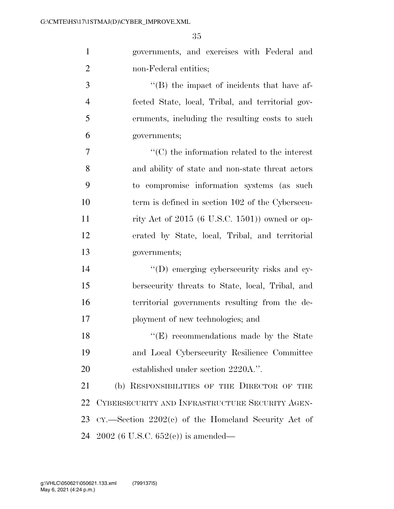governments, and exercises with Federal and non-Federal entities;

 ''(B) the impact of incidents that have af- fected State, local, Tribal, and territorial gov- ernments, including the resulting costs to such governments;

 $\cdot$  ''(C) the information related to the interest and ability of state and non-state threat actors to compromise information systems (as such term is defined in section 102 of the Cybersecu- rity Act of 2015 (6 U.S.C. 1501)) owned or op- erated by State, local, Tribal, and territorial governments;

 $\langle (D)$  emerging cybersecurity risks and cy- bersecurity threats to State, local, Tribal, and territorial governments resulting from the de-ployment of new technologies; and

18 ''(E) recommendations made by the State and Local Cybersecurity Resilience Committee 20 established under section 2220A.".

 (b) RESPONSIBILITIES OF THE DIRECTOR OF THE CYBERSECURITY AND INFRASTRUCTURE SECURITY AGEN- CY.—Section 2202(c) of the Homeland Security Act of 2002 (6 U.S.C. 652(c)) is amended—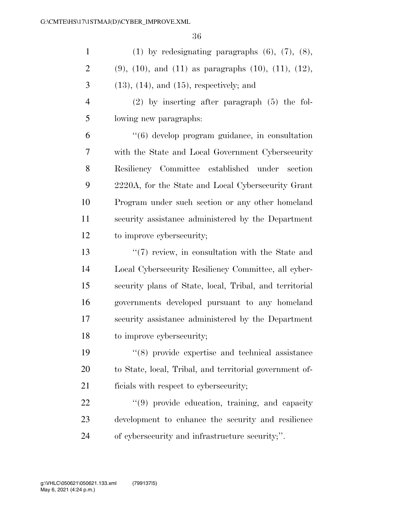| $\mathbf{1}$   | (1) by redesignating paragraphs $(6)$ , $(7)$ , $(8)$ ,              |
|----------------|----------------------------------------------------------------------|
| $\overline{c}$ | $(9)$ , $(10)$ , and $(11)$ as paragraphs $(10)$ , $(11)$ , $(12)$ , |
| 3              | $(13)$ , $(14)$ , and $(15)$ , respectively; and                     |
| $\overline{4}$ | $(2)$ by inserting after paragraph $(5)$ the fol-                    |
| 5              | lowing new paragraphs:                                               |
| 6              | "(6) develop program guidance, in consultation                       |
| 7              | with the State and Local Government Cybersecurity                    |
| 8              | Resiliency Committee established under section                       |
| 9              | 2220A, for the State and Local Cybersecurity Grant                   |
| 10             | Program under such section or any other homeland                     |
| 11             | security assistance administered by the Department                   |
| 12             | to improve cybersecurity;                                            |
| 13             | $\lq(7)$ review, in consultation with the State and                  |
| 14             | Local Cybersecurity Resiliency Committee, all cyber-                 |
| 15             | security plans of State, local, Tribal, and territorial              |
| 16             | governments developed pursuant to any homeland                       |
| 17             | security assistance administered by the Department                   |
| 18             | to improve cybersecurity;                                            |
| 19             | $(8)$ provide expertise and technical assistance                     |
| 20             | to State, local, Tribal, and territorial government of-              |
| 21             | ficials with respect to cybersecurity;                               |
| 22             | "(9) provide education, training, and capacity                       |
| 23             | development to enhance the security and resilience                   |

of cybersecurity and infrastructure security;''.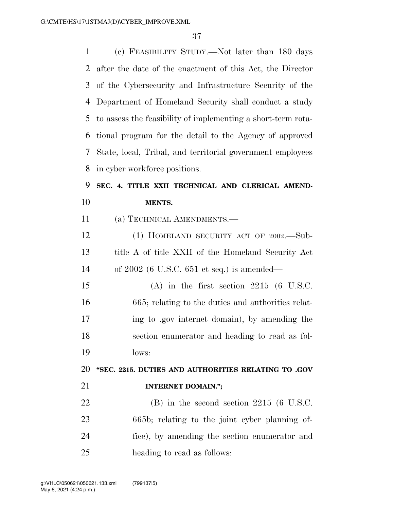| $\mathbf{1}$ | (c) FEASIBILITY STUDY.—Not later than 180 days               |
|--------------|--------------------------------------------------------------|
| 2            | after the date of the enactment of this Act, the Director    |
| 3            | of the Cybersecurity and Infrastructure Security of the      |
| 4            | Department of Homeland Security shall conduct a study        |
| 5            | to assess the feasibility of implementing a short-term rota- |
| 6            | tional program for the detail to the Agency of approved      |
| 7            | State, local, Tribal, and territorial government employees   |
| 8            | in cyber workforce positions.                                |
| 9            | SEC. 4. TITLE XXII TECHNICAL AND CLERICAL AMEND-             |
| 10           | MENTS.                                                       |
| 11           | (a) TECHNICAL AMENDMENTS.—                                   |
| 12           | (1) HOMELAND SECURITY ACT OF 2002.—Sub-                      |
| 13           | title A of title XXII of the Homeland Security Act           |
| 14           | of $2002$ (6 U.S.C. 651 et seq.) is amended—                 |
| 15           | $(A)$ in the first section 2215 (6 U.S.C.                    |
| 16           | 665; relating to the duties and authorities relat-           |
| 17           | ing to gov internet domain), by amending the                 |
| 18           | section enumerator and heading to read as fol-               |
| 19           | lows:                                                        |
| 20           | "SEC. 2215. DUTIES AND AUTHORITIES RELATING TO .GOV          |
| 21           | <b>INTERNET DOMAIN.";</b>                                    |
| 22           | $(B)$ in the second section 2215 (6 U.S.C.                   |
| 23           | 665b; relating to the joint cyber planning of-               |
| 24           | fice), by amending the section enumerator and                |
| 25           | heading to read as follows:                                  |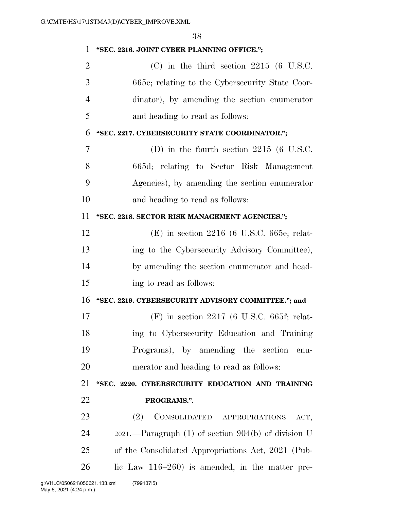| "SEC. 2216. JOINT CYBER PLANNING OFFICE.";               |
|----------------------------------------------------------|
| $(C)$ in the third section 2215 (6 U.S.C.                |
| 665c; relating to the Cybersecurity State Coor-          |
| dinator), by amending the section enumerator             |
| and heading to read as follows:                          |
| "SEC. 2217. CYBERSECURITY STATE COORDINATOR.";           |
| (D) in the fourth section $2215$ (6 U.S.C.               |
| 665d; relating to Sector Risk Management                 |
| Agencies), by amending the section enumerator            |
| and heading to read as follows:                          |
| "SEC. 2218. SECTOR RISK MANAGEMENT AGENCIES.";           |
| $(E)$ in section 2216 (6 U.S.C. 665e; relat-             |
| ing to the Cybersecurity Advisory Committee),            |
| by amending the section enumerator and head-             |
| ing to read as follows:                                  |
| "SEC. 2219. CYBERSECURITY ADVISORY COMMITTEE."; and      |
| $(F)$ in section 2217 (6 U.S.C. 665f; relat-             |
| ing to Cybersecurity Education and Training              |
| Programs), by amending the section<br>enu-               |
| merator and heading to read as follows:                  |
| "SEC. 2220. CYBERSECURITY EDUCATION AND TRAINING         |
| PROGRAMS.".                                              |
| CONSOLIDATED APPROPRIATIONS<br>(2)<br>ACT,               |
| $2021.$ —Paragraph (1) of section $904(b)$ of division U |
| of the Consolidated Appropriations Act, 2021 (Pub-       |
| lic Law $116-260$ is amended, in the matter pre-         |
|                                                          |